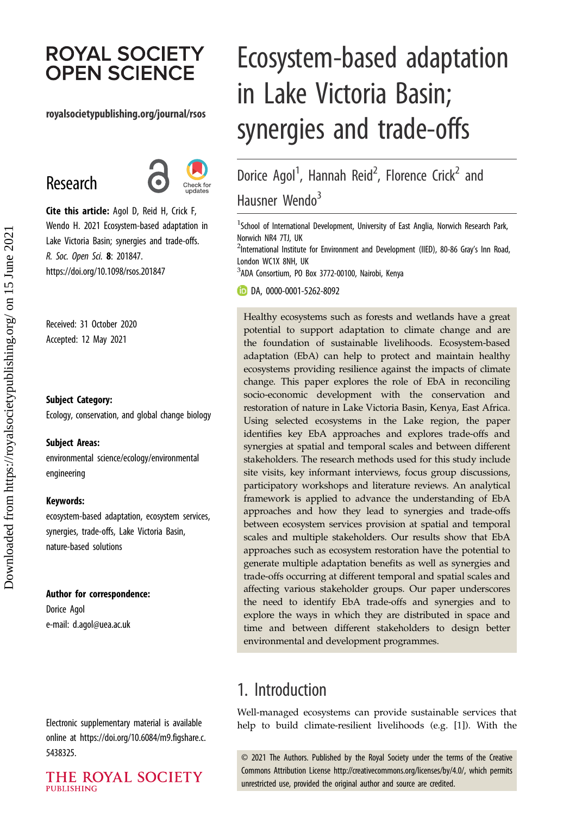# **ROYAL SOCIETY OPEN SCIENCE**

#### royalsocietypublishing.org/journal/rsos

# Research



Cite this article: Agol D, Reid H, Crick F, Wendo H. 2021 Ecosystem-based adaptation in Lake Victoria Basin; synergies and trade-offs. R. Soc. Open Sci. 8: 201847. https://doi.org/10.1098/rsos.201847

Received: 31 October 2020 Accepted: 12 May 2021

#### Subject Category:

Ecology, conservation, and global change biology

#### Subject Areas:

environmental science/ecology/environmental engineering

#### Keywords:

ecosystem-based adaptation, ecosystem services, synergies, trade-offs, Lake Victoria Basin, nature-based solutions

#### Author for correspondence:

Dorice Agol e-mail: [d.agol@uea.ac.uk](mailto:d.agol@uea.ac.uk)

# Ecosystem-based adaptation in Lake Victoria Basin; synergies and trade-offs

Dorice Agol<sup>1</sup>, Hannah Reid<sup>2</sup>, Florence Crick<sup>2</sup> and Hausner Wendo<sup>3</sup>

<sup>1</sup>School of International Development, University of East Anglia, Norwich Research Park, Norwich NR4 7TJ, UK

<sup>2</sup>International Institute for Environment and Development (IIED), 80-86 Gray's Inn Road, London WC1X 8NH, UK

3 ADA Consortium, PO Box 3772-00100, Nairobi, Kenya

DA, [0000-0001-5262-8092](http://orcid.org/0000-0001-5262-8092)

Healthy ecosystems such as forests and wetlands have a great potential to support adaptation to climate change and are the foundation of sustainable livelihoods. Ecosystem-based adaptation (EbA) can help to protect and maintain healthy ecosystems providing resilience against the impacts of climate change. This paper explores the role of EbA in reconciling socio-economic development with the conservation and restoration of nature in Lake Victoria Basin, Kenya, East Africa. Using selected ecosystems in the Lake region, the paper identifies key EbA approaches and explores trade-offs and synergies at spatial and temporal scales and between different stakeholders. The research methods used for this study include site visits, key informant interviews, focus group discussions, participatory workshops and literature reviews. An analytical framework is applied to advance the understanding of EbA approaches and how they lead to synergies and trade-offs between ecosystem services provision at spatial and temporal scales and multiple stakeholders. Our results show that EbA approaches such as ecosystem restoration have the potential to generate multiple adaptation benefits as well as synergies and trade-offs occurring at different temporal and spatial scales and affecting various stakeholder groups. Our paper underscores the need to identify EbA trade-offs and synergies and to explore the ways in which they are distributed in space and time and between different stakeholders to design better environmental and development programmes.

### 1. Introduction

Well-managed ecosystems can provide sustainable services that help to build climate-resilient livelihoods (e.g. [[1](#page-15-0)]). With the

© 2021 The Authors. Published by the Royal Society under the terms of the Creative Commons Attribution License<http://creativecommons.org/licenses/by/4.0/>, which permits unrestricted use, provided the original author and source are credited.

Electronic supplementary material is available online at [https://doi.org/10.6084/m9.figshare.c.](https://doi.org/10.6084/m9.figshare.c.5438325) [5438325.](https://doi.org/10.6084/m9.figshare.c.5438325)

THE ROYAL SOCIETY **PUBLISHING**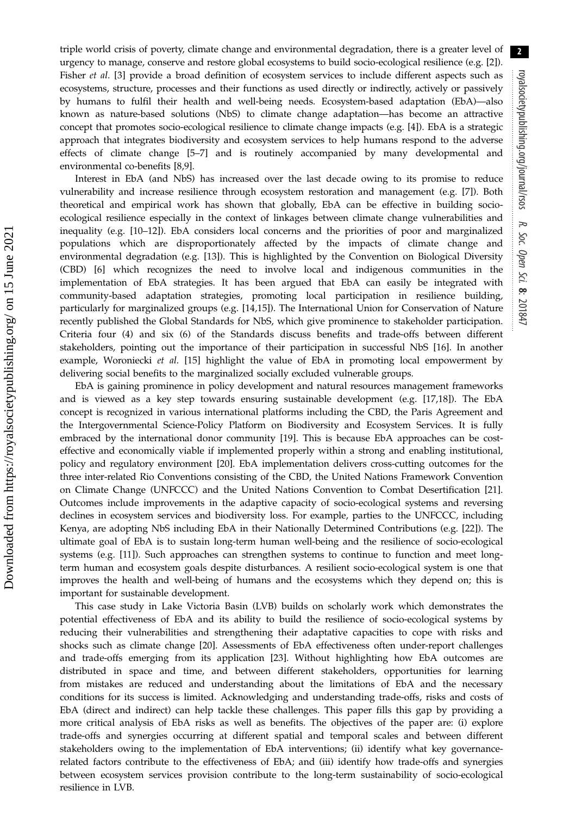triple world crisis of poverty, climate change and environmental degradation, there is a greater level of urgency to manage, conserve and restore global ecosystems to build socio-ecological resilience (e.g. [[2](#page-15-0)]). Fisher *et al.* [[3](#page-15-0)] provide a broad definition of ecosystem services to include different aspects such as ecosystems, structure, processes and their functions as used directly or indirectly, actively or passively by humans to fulfil their health and well-being needs. Ecosystem-based adaptation (EbA)—also known as nature-based solutions (NbS) to climate change adaptation—has become an attractive concept that promotes socio-ecological resilience to climate change impacts (e.g. [[4\]](#page-15-0)). EbA is a strategic approach that integrates biodiversity and ecosystem services to help humans respond to the adverse effects of climate change [\[5](#page-15-0)–[7\]](#page-15-0) and is routinely accompanied by many developmental and environmental co-benefits [\[8,9](#page-15-0)].

Interest in EbA (and NbS) has increased over the last decade owing to its promise to reduce vulnerability and increase resilience through ecosystem restoration and management (e.g. [\[7\]](#page-15-0)). Both theoretical and empirical work has shown that globally, EbA can be effective in building socioecological resilience especially in the context of linkages between climate change vulnerabilities and inequality (e.g. [\[10](#page-15-0)–[12\]](#page-15-0)). EbA considers local concerns and the priorities of poor and marginalized populations which are disproportionately affected by the impacts of climate change and environmental degradation (e.g. [[13\]](#page-15-0)). This is highlighted by the Convention on Biological Diversity (CBD) [\[6\]](#page-15-0) which recognizes the need to involve local and indigenous communities in the implementation of EbA strategies. It has been argued that EbA can easily be integrated with community-based adaptation strategies, promoting local participation in resilience building, particularly for marginalized groups (e.g. [\[14](#page-15-0),[15\]](#page-16-0)). The International Union for Conservation of Nature recently published the Global Standards for NbS, which give prominence to stakeholder participation. Criteria four (4) and six (6) of the Standards discuss benefits and trade-offs between different stakeholders, pointing out the importance of their participation in successful NbS [[16\]](#page-16-0). In another example, Woroniecki et al. [[15\]](#page-16-0) highlight the value of EbA in promoting local empowerment by delivering social benefits to the marginalized socially excluded vulnerable groups.

EbA is gaining prominence in policy development and natural resources management frameworks and is viewed as a key step towards ensuring sustainable development (e.g. [\[17,18](#page-16-0)]). The EbA concept is recognized in various international platforms including the CBD, the Paris Agreement and the Intergovernmental Science-Policy Platform on Biodiversity and Ecosystem Services. It is fully embraced by the international donor community [[19\]](#page-16-0). This is because EbA approaches can be costeffective and economically viable if implemented properly within a strong and enabling institutional, policy and regulatory environment [[20\]](#page-16-0). EbA implementation delivers cross-cutting outcomes for the three inter-related Rio Conventions consisting of the CBD, the United Nations Framework Convention on Climate Change (UNFCCC) and the United Nations Convention to Combat Desertification [\[21](#page-16-0)]. Outcomes include improvements in the adaptive capacity of socio-ecological systems and reversing declines in ecosystem services and biodiversity loss. For example, parties to the UNFCCC, including Kenya, are adopting NbS including EbA in their Nationally Determined Contributions (e.g. [\[22](#page-16-0)]). The ultimate goal of EbA is to sustain long-term human well-being and the resilience of socio-ecological systems (e.g. [[11](#page-15-0)]). Such approaches can strengthen systems to continue to function and meet longterm human and ecosystem goals despite disturbances. A resilient socio-ecological system is one that improves the health and well-being of humans and the ecosystems which they depend on; this is important for sustainable development.

This case study in Lake Victoria Basin (LVB) builds on scholarly work which demonstrates the potential effectiveness of EbA and its ability to build the resilience of socio-ecological systems by reducing their vulnerabilities and strengthening their adaptative capacities to cope with risks and shocks such as climate change [[20\]](#page-16-0). Assessments of EbA effectiveness often under-report challenges and trade-offs emerging from its application [[23\]](#page-16-0). Without highlighting how EbA outcomes are distributed in space and time, and between different stakeholders, opportunities for learning from mistakes are reduced and understanding about the limitations of EbA and the necessary conditions for its success is limited. Acknowledging and understanding trade-offs, risks and costs of EbA (direct and indirect) can help tackle these challenges. This paper fills this gap by providing a more critical analysis of EbA risks as well as benefits. The objectives of the paper are: (i) explore trade-offs and synergies occurring at different spatial and temporal scales and between different stakeholders owing to the implementation of EbA interventions; (ii) identify what key governancerelated factors contribute to the effectiveness of EbA; and (iii) identify how trade-offs and synergies between ecosystem services provision contribute to the long-term sustainability of socio-ecological resilience in LVB.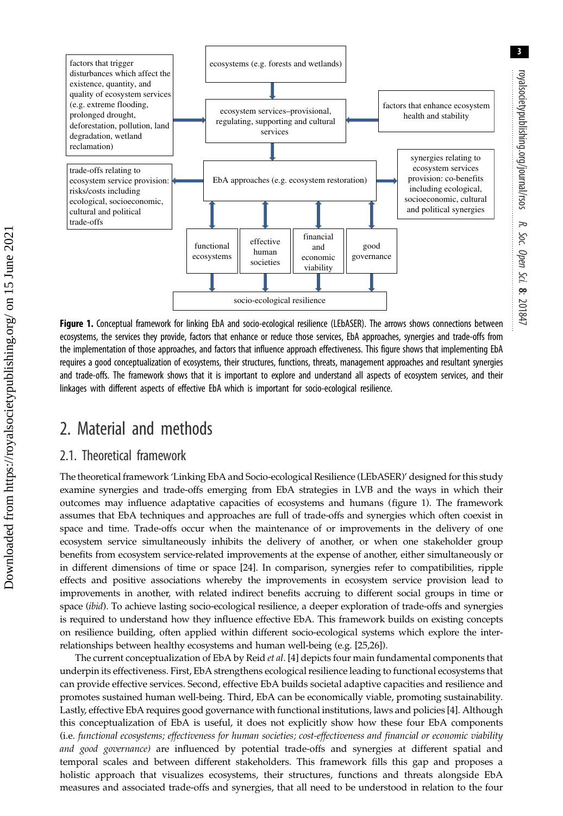

Figure 1. Conceptual framework for linking EbA and socio-ecological resilience (LEbASER). The arrows shows connections between ecosystems, the services they provide, factors that enhance or reduce those services, EbA approaches, synergies and trade-offs from the implementation of those approaches, and factors that influence approach effectiveness. This figure shows that implementing EbA requires a good conceptualization of ecosystems, their structures, functions, threats, management approaches and resultant synergies and trade-offs. The framework shows that it is important to explore and understand all aspects of ecosystem services, and their linkages with different aspects of effective EbA which is important for socio-ecological resilience.

### 2. Material and methods

#### 2.1. Theoretical framework

The theoretical framework 'Linking EbA and Socio-ecological Resilience (LEbASER)' designed for this study examine synergies and trade-offs emerging from EbA strategies in LVB and the ways in which their outcomes may influence adaptative capacities of ecosystems and humans (figure 1). The framework assumes that EbA techniques and approaches are full of trade-offs and synergies which often coexist in space and time. Trade-offs occur when the maintenance of or improvements in the delivery of one ecosystem service simultaneously inhibits the delivery of another, or when one stakeholder group benefits from ecosystem service-related improvements at the expense of another, either simultaneously or in different dimensions of time or space [\[24](#page-16-0)]. In comparison, synergies refer to compatibilities, ripple effects and positive associations whereby the improvements in ecosystem service provision lead to improvements in another, with related indirect benefits accruing to different social groups in time or space (ibid). To achieve lasting socio-ecological resilience, a deeper exploration of trade-offs and synergies is required to understand how they influence effective EbA. This framework builds on existing concepts on resilience building, often applied within different socio-ecological systems which explore the interrelationships between healthy ecosystems and human well-being (e.g. [[25,26\]](#page-16-0)).

The current conceptualization of EbA by Reid et al. [[4](#page-15-0)] depicts four main fundamental components that underpin its effectiveness. First, EbA strengthens ecological resilience leading to functional ecosystems that can provide effective services. Second, effective EbA builds societal adaptive capacities and resilience and promotes sustained human well-being. Third, EbA can be economically viable, promoting sustainability. Lastly, effective EbA requires good governance with functional institutions, laws and policies [\[4\]](#page-15-0). Although this conceptualization of EbA is useful, it does not explicitly show how these four EbA components (i.e. functional ecosystems; effectiveness for human societies; cost-effectiveness and financial or economic viability and good governance) are influenced by potential trade-offs and synergies at different spatial and temporal scales and between different stakeholders. This framework fills this gap and proposes a holistic approach that visualizes ecosystems, their structures, functions and threats alongside EbA measures and associated trade-offs and synergies, that all need to be understood in relation to the four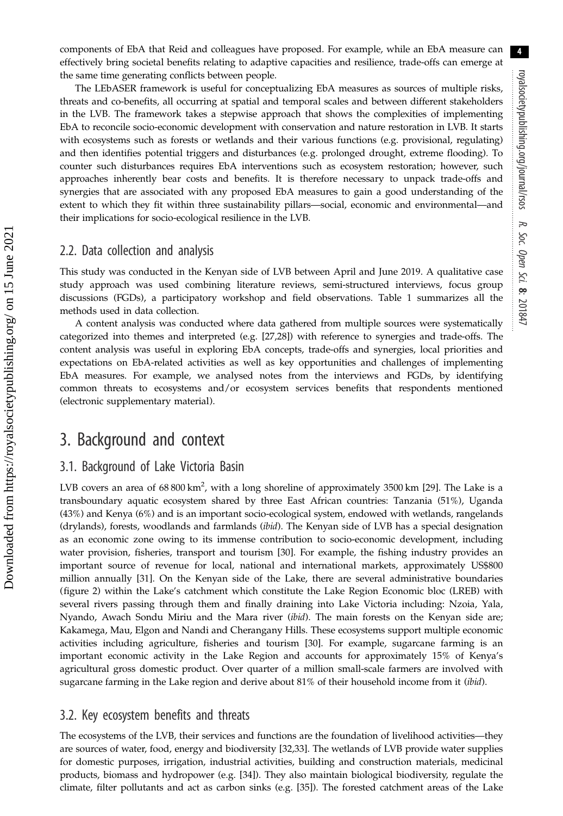components of EbA that Reid and colleagues have proposed. For example, while an EbA measure can effectively bring societal benefits relating to adaptive capacities and resilience, trade-offs can emerge at the same time generating conflicts between people.

The LEbASER framework is useful for conceptualizing EbA measures as sources of multiple risks, threats and co-benefits, all occurring at spatial and temporal scales and between different stakeholders in the LVB. The framework takes a stepwise approach that shows the complexities of implementing EbA to reconcile socio-economic development with conservation and nature restoration in LVB. It starts with ecosystems such as forests or wetlands and their various functions (e.g. provisional, regulating) and then identifies potential triggers and disturbances (e.g. prolonged drought, extreme flooding). To counter such disturbances requires EbA interventions such as ecosystem restoration; however, such approaches inherently bear costs and benefits. It is therefore necessary to unpack trade-offs and synergies that are associated with any proposed EbA measures to gain a good understanding of the extent to which they fit within three sustainability pillars—social, economic and environmental—and their implications for socio-ecological resilience in the LVB.

#### 2.2. Data collection and analysis

This study was conducted in the Kenyan side of LVB between April and June 2019. A qualitative case study approach was used combining literature reviews, semi-structured interviews, focus group discussions (FGDs), a participatory workshop and field observations. [Table 1](#page-4-0) summarizes all the methods used in data collection.

A content analysis was conducted where data gathered from multiple sources were systematically categorized into themes and interpreted (e.g. [[27,28\]](#page-16-0)) with reference to synergies and trade-offs. The content analysis was useful in exploring EbA concepts, trade-offs and synergies, local priorities and expectations on EbA-related activities as well as key opportunities and challenges of implementing EbA measures. For example, we analysed notes from the interviews and FGDs, by identifying common threats to ecosystems and/or ecosystem services benefits that respondents mentioned (electronic supplementary material).

### 3. Background and context

#### 3.1. Background of Lake Victoria Basin

LVB covers an area of 68 800 km<sup>2</sup>, with a long shoreline of approximately 3500 km [[29\]](#page-16-0). The Lake is a transboundary aquatic ecosystem shared by three East African countries: Tanzania (51%), Uganda (43%) and Kenya (6%) and is an important socio-ecological system, endowed with wetlands, rangelands (drylands), forests, woodlands and farmlands (ibid). The Kenyan side of LVB has a special designation as an economic zone owing to its immense contribution to socio-economic development, including water provision, fisheries, transport and tourism [\[30](#page-16-0)]. For example, the fishing industry provides an important source of revenue for local, national and international markets, approximately US\$800 million annually [[31\]](#page-16-0). On the Kenyan side of the Lake, there are several administrative boundaries [\(figure 2](#page-5-0)) within the Lake's catchment which constitute the Lake Region Economic bloc (LREB) with several rivers passing through them and finally draining into Lake Victoria including: Nzoia, Yala, Nyando, Awach Sondu Miriu and the Mara river (ibid). The main forests on the Kenyan side are; Kakamega, Mau, Elgon and Nandi and Cherangany Hills. These ecosystems support multiple economic activities including agriculture, fisheries and tourism [[30\]](#page-16-0). For example, sugarcane farming is an important economic activity in the Lake Region and accounts for approximately 15% of Kenya's agricultural gross domestic product. Over quarter of a million small-scale farmers are involved with sugarcane farming in the Lake region and derive about 81% of their household income from it (ibid).

#### 3.2. Key ecosystem benefits and threats

The ecosystems of the LVB, their services and functions are the foundation of livelihood activities—they are sources of water, food, energy and biodiversity [[32,33](#page-16-0)]. The wetlands of LVB provide water supplies for domestic purposes, irrigation, industrial activities, building and construction materials, medicinal products, biomass and hydropower (e.g. [\[34](#page-16-0)]). They also maintain biological biodiversity, regulate the climate, filter pollutants and act as carbon sinks (e.g. [\[35](#page-16-0)]). The forested catchment areas of the Lake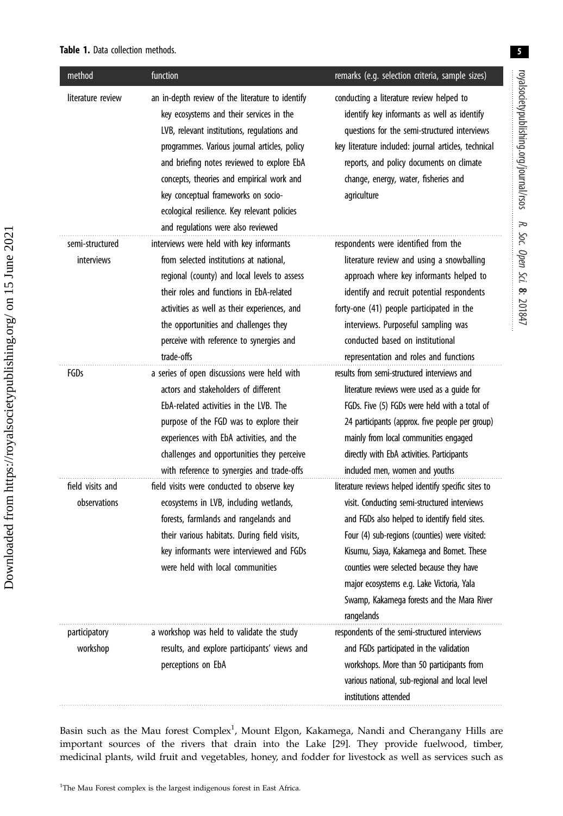royalsocietypublishing.org/journal/rsos

royalsocietypublishing.org/journal/rsos

R.

Soc. Open

Sci.

8: 201847

<span id="page-4-0"></span>

| method                               | function                                                                                                                                                                                                                                                                                                                                                                                                            | remarks (e.g. selection criteria, sample sizes)                                                                                                                                                                                                                                                                                                                                                         |
|--------------------------------------|---------------------------------------------------------------------------------------------------------------------------------------------------------------------------------------------------------------------------------------------------------------------------------------------------------------------------------------------------------------------------------------------------------------------|---------------------------------------------------------------------------------------------------------------------------------------------------------------------------------------------------------------------------------------------------------------------------------------------------------------------------------------------------------------------------------------------------------|
| literature review                    | an in-depth review of the literature to identify<br>key ecosystems and their services in the<br>LVB, relevant institutions, regulations and<br>programmes. Various journal articles, policy<br>and briefing notes reviewed to explore EbA<br>concepts, theories and empirical work and<br>key conceptual frameworks on socio-<br>ecological resilience. Key relevant policies<br>and regulations were also reviewed | conducting a literature review helped to<br>identify key informants as well as identify<br>questions for the semi-structured interviews<br>key literature included: journal articles, technical<br>reports, and policy documents on climate<br>change, energy, water, fisheries and<br>agriculture                                                                                                      |
| semi-structured<br><b>interviews</b> | interviews were held with key informants<br>from selected institutions at national,<br>regional (county) and local levels to assess<br>their roles and functions in EbA-related<br>activities as well as their experiences, and<br>the opportunities and challenges they<br>perceive with reference to synergies and<br>trade-offs                                                                                  | respondents were identified from the<br>literature review and using a snowballing<br>approach where key informants helped to<br>identify and recruit potential respondents<br>forty-one (41) people participated in the<br>interviews. Purposeful sampling was<br>conducted based on institutional<br>representation and roles and functions                                                            |
| FGDs                                 | a series of open discussions were held with<br>actors and stakeholders of different<br>EbA-related activities in the LVB. The<br>purpose of the FGD was to explore their<br>experiences with EbA activities, and the<br>challenges and opportunities they perceive<br>with reference to synergies and trade-offs                                                                                                    | results from semi-structured interviews and<br>literature reviews were used as a quide for<br>FGDs. Five (5) FGDs were held with a total of<br>24 participants (approx. five people per group)<br>mainly from local communities engaged<br>directly with EbA activities. Participants<br>included men, women and youths                                                                                 |
| field visits and<br>observations     | field visits were conducted to observe key<br>ecosystems in LVB, including wetlands,<br>forests, farmlands and rangelands and<br>their various habitats. During field visits,<br>key informants were interviewed and FGDs<br>were held with local communities                                                                                                                                                       | literature reviews helped identify specific sites to<br>visit. Conducting semi-structured interviews<br>and FGDs also helped to identify field sites.<br>Four (4) sub-regions (counties) were visited:<br>Kisumu, Siaya, Kakamega and Bomet. These<br>counties were selected because they have<br>major ecosystems e.g. Lake Victoria, Yala<br>Swamp, Kakamega forests and the Mara River<br>rangelands |
| participatory<br>workshop            | a workshop was held to validate the study<br>results, and explore participants' views and<br>perceptions on EbA                                                                                                                                                                                                                                                                                                     | respondents of the semi-structured interviews<br>and FGDs participated in the validation<br>workshops. More than 50 participants from<br>various national, sub-regional and local level<br>institutions attended                                                                                                                                                                                        |

Basin such as the Mau forest Complex<sup>1</sup>, Mount Elgon, Kakamega, Nandi and Cherangany Hills are important sources of the rivers that drain into the Lake [\[29](#page-16-0)]. They provide fuelwood, timber, medicinal plants, wild fruit and vegetables, honey, and fodder for livestock as well as services such as

<sup>1</sup>The Mau Forest complex is the largest indigenous forest in East Africa.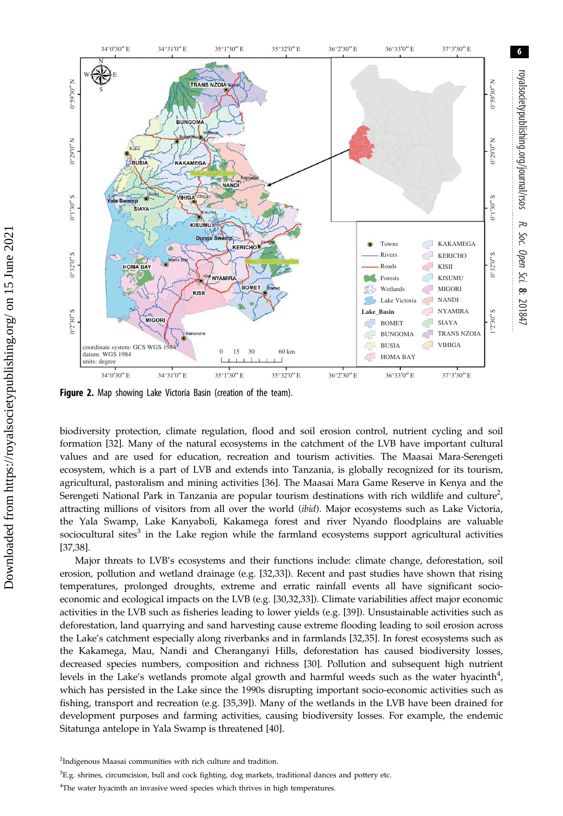<span id="page-5-0"></span>

Figure 2. Map showing Lake Victoria Basin (creation of the team).

biodiversity protection, climate regulation, flood and soil erosion control, nutrient cycling and soil formation [[32\]](#page-16-0). Many of the natural ecosystems in the catchment of the LVB have important cultural values and are used for education, recreation and tourism activities. The Maasai Mara-Serengeti ecosystem, which is a part of LVB and extends into Tanzania, is globally recognized for its tourism, agricultural, pastoralism and mining activities [[36\]](#page-16-0). The Maasai Mara Game Reserve in Kenya and the Serengeti National Park in Tanzania are popular tourism destinations with rich wildlife and culture<sup>2</sup>, attracting millions of visitors from all over the world (ibid). Major ecosystems such as Lake Victoria, the Yala Swamp, Lake Kanyaboli, Kakamega forest and river Nyando floodplains are valuable sociocultural sites $3$  in the Lake region while the farmland ecosystems support agricultural activities [\[37](#page-16-0),[38\]](#page-16-0).

Major threats to LVB's ecosystems and their functions include: climate change, deforestation, soil erosion, pollution and wetland drainage (e.g. [[32,33\]](#page-16-0)). Recent and past studies have shown that rising temperatures, prolonged droughts, extreme and erratic rainfall events all have significant socioeconomic and ecological impacts on the LVB (e.g. [\[30](#page-16-0),[32,33\]](#page-16-0)). Climate variabilities affect major economic activities in the LVB such as fisheries leading to lower yields (e.g. [\[39](#page-16-0)]). Unsustainable activities such as deforestation, land quarrying and sand harvesting cause extreme flooding leading to soil erosion across the Lake's catchment especially along riverbanks and in farmlands [[32,35](#page-16-0)]. In forest ecosystems such as the Kakamega, Mau, Nandi and Cheranganyi Hills, deforestation has caused biodiversity losses, decreased species numbers, composition and richness [[30\]](#page-16-0). Pollution and subsequent high nutrient levels in the Lake's wetlands promote algal growth and harmful weeds such as the water hyacinth<sup>4</sup>, which has persisted in the Lake since the 1990s disrupting important socio-economic activities such as fishing, transport and recreation (e.g. [[35,39\]](#page-16-0)). Many of the wetlands in the LVB have been drained for development purposes and farming activities, causing biodiversity losses. For example, the endemic Sitatunga antelope in Yala Swamp is threatened [[40\]](#page-16-0).

<sup>&</sup>lt;sup>2</sup>Indigenous Maasai communities with rich culture and tradition.

 ${}^{3}E.g.$  shrines, circumcision, bull and cock fighting, dog markets, traditional dances and pottery etc.

<sup>&</sup>lt;sup>4</sup>The water hyacinth an invasive weed species which thrives in high temperatures.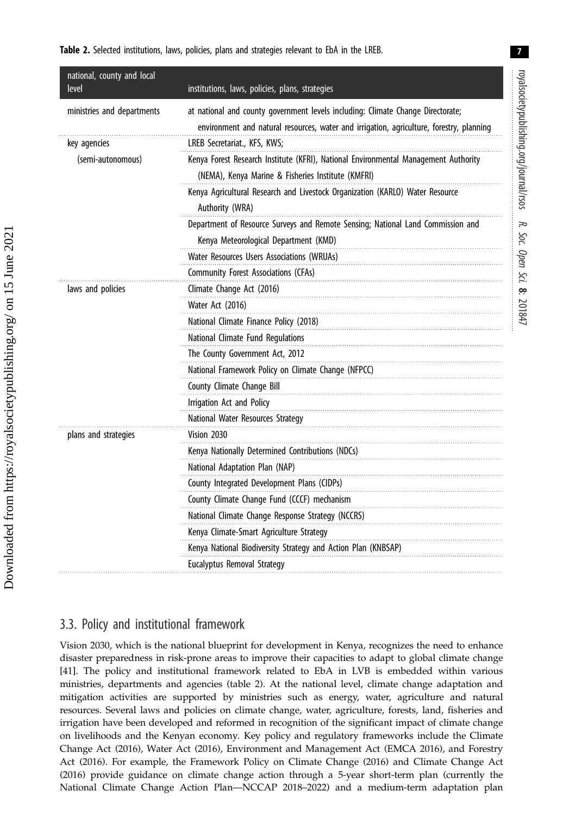<span id="page-6-0"></span>

| national, county and local<br>level | institutions, laws, policies, plans, strategies                                                                                                                             |
|-------------------------------------|-----------------------------------------------------------------------------------------------------------------------------------------------------------------------------|
| ministries and departments          | at national and county government levels including: Climate Change Directorate;<br>environment and natural resources, water and irrigation, agriculture, forestry, planning |
| key agencies                        | LREB Secretariat., KFS, KWS;                                                                                                                                                |
| (semi-autonomous)                   | Kenya Forest Research Institute (KFRI), National Environmental Management Authority<br>(NEMA), Kenya Marine & Fisheries Institute (KMFRI)                                   |
|                                     | Kenya Agricultural Research and Livestock Organization (KARLO) Water Resource<br>Authority (WRA)                                                                            |
|                                     | Department of Resource Surveys and Remote Sensing; National Land Commission and<br>Kenya Meteorological Department (KMD)                                                    |
|                                     | Water Resources Users Associations (WRUAs)                                                                                                                                  |
|                                     | Community Forest Associations (CFAs)                                                                                                                                        |
| laws and policies                   | Climate Change Act (2016)                                                                                                                                                   |
|                                     | Water Act (2016)                                                                                                                                                            |
|                                     | National Climate Finance Policy (2018)                                                                                                                                      |
|                                     | National Climate Fund Regulations                                                                                                                                           |
|                                     | The County Government Act, 2012                                                                                                                                             |
|                                     | National Framework Policy on Climate Change (NFPCC)                                                                                                                         |
|                                     | County Climate Change Bill                                                                                                                                                  |
|                                     | Irrigation Act and Policy                                                                                                                                                   |
|                                     | National Water Resources Strategy                                                                                                                                           |
| plans and strategies                | Vision 2030                                                                                                                                                                 |
|                                     | Kenya Nationally Determined Contributions (NDCs)                                                                                                                            |
|                                     | National Adaptation Plan (NAP)                                                                                                                                              |
|                                     | County Integrated Development Plans (CIDPs)                                                                                                                                 |
|                                     | County Climate Change Fund (CCCF) mechanism                                                                                                                                 |
|                                     | National Climate Change Response Strategy (NCCRS)                                                                                                                           |
|                                     | Kenya Climate-Smart Agriculture Strategy                                                                                                                                    |
|                                     | Kenya National Biodiversity Strategy and Action Plan (KNBSAP)                                                                                                               |
|                                     | Eucalyptus Removal Strategy                                                                                                                                                 |

Downloaded from https://royalsocietypublishing.org/ on 15 June 2021

Downloaded from https://royalsocietypublishing.org/ on 15 June 2021

### 3.3. Policy and institutional framework

Vision 2030, which is the national blueprint for development in Kenya, recognizes the need to enhance disaster preparedness in risk-prone areas to improve their capacities to adapt to global climate change [\[41](#page-16-0)]. The policy and institutional framework related to EbA in LVB is embedded within various ministries, departments and agencies (table 2). At the national level, climate change adaptation and mitigation activities are supported by ministries such as energy, water, agriculture and natural resources. Several laws and policies on climate change, water, agriculture, forests, land, fisheries and irrigation have been developed and reformed in recognition of the significant impact of climate change on livelihoods and the Kenyan economy. Key policy and regulatory frameworks include the Climate Change Act (2016), Water Act (2016), Environment and Management Act (EMCA 2016), and Forestry Act (2016). For example, the Framework Policy on Climate Change (2016) and Climate Change Act (2016) provide guidance on climate change action through a 5-year short-term plan (currently the National Climate Change Action Plan—NCCAP 2018–2022) and a medium-term adaptation plan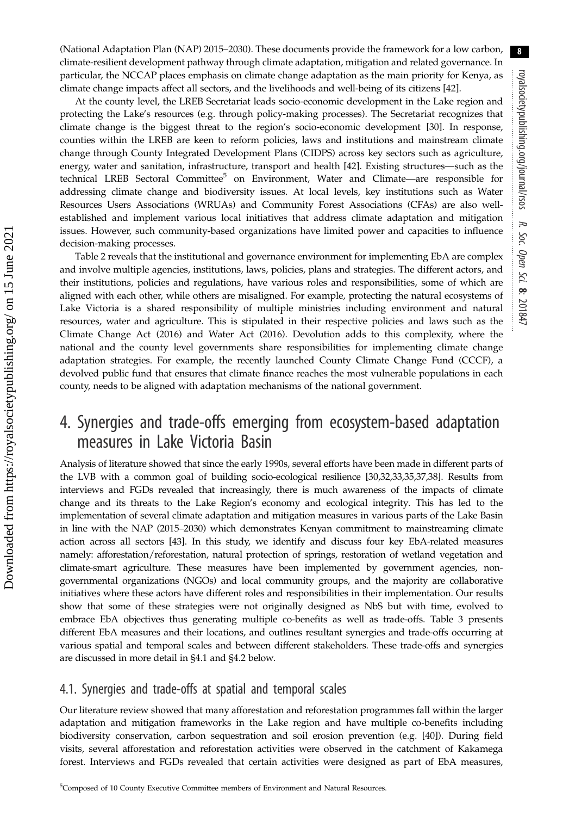8

(National Adaptation Plan (NAP) 2015–2030). These documents provide the framework for a low carbon, climate-resilient development pathway through climate adaptation, mitigation and related governance. In particular, the NCCAP places emphasis on climate change adaptation as the main priority for Kenya, as climate change impacts affect all sectors, and the livelihoods and well-being of its citizens [[42\]](#page-16-0).

At the county level, the LREB Secretariat leads socio-economic development in the Lake region and protecting the Lake's resources (e.g. through policy-making processes). The Secretariat recognizes that climate change is the biggest threat to the region's socio-economic development [\[30](#page-16-0)]. In response, counties within the LREB are keen to reform policies, laws and institutions and mainstream climate change through County Integrated Development Plans (CIDPS) across key sectors such as agriculture, energy, water and sanitation, infrastructure, transport and health [[42\]](#page-16-0). Existing structures—such as the technical LREB Sectoral Committee<sup>5</sup> on Environment, Water and Climate—are responsible for addressing climate change and biodiversity issues. At local levels, key institutions such as Water Resources Users Associations (WRUAs) and Community Forest Associations (CFAs) are also wellestablished and implement various local initiatives that address climate adaptation and mitigation issues. However, such community-based organizations have limited power and capacities to influence decision-making processes.

[Table 2](#page-6-0) reveals that the institutional and governance environment for implementing EbA are complex and involve multiple agencies, institutions, laws, policies, plans and strategies. The different actors, and their institutions, policies and regulations, have various roles and responsibilities, some of which are aligned with each other, while others are misaligned. For example, protecting the natural ecosystems of Lake Victoria is a shared responsibility of multiple ministries including environment and natural resources, water and agriculture. This is stipulated in their respective policies and laws such as the Climate Change Act (2016) and Water Act (2016). Devolution adds to this complexity, where the national and the county level governments share responsibilities for implementing climate change adaptation strategies. For example, the recently launched County Climate Change Fund (CCCF), a devolved public fund that ensures that climate finance reaches the most vulnerable populations in each county, needs to be aligned with adaptation mechanisms of the national government.

# 4. Synergies and trade-offs emerging from ecosystem-based adaptation measures in Lake Victoria Basin

Analysis of literature showed that since the early 1990s, several efforts have been made in different parts of the LVB with a common goal of building socio-ecological resilience [[30,32,33,35,37,38\]](#page-16-0). Results from interviews and FGDs revealed that increasingly, there is much awareness of the impacts of climate change and its threats to the Lake Region's economy and ecological integrity. This has led to the implementation of several climate adaptation and mitigation measures in various parts of the Lake Basin in line with the NAP (2015–2030) which demonstrates Kenyan commitment to mainstreaming climate action across all sectors [[43](#page-16-0)]. In this study, we identify and discuss four key EbA-related measures namely: afforestation/reforestation, natural protection of springs, restoration of wetland vegetation and climate-smart agriculture. These measures have been implemented by government agencies, nongovernmental organizations (NGOs) and local community groups, and the majority are collaborative initiatives where these actors have different roles and responsibilities in their implementation. Our results show that some of these strategies were not originally designed as NbS but with time, evolved to embrace EbA objectives thus generating multiple co-benefits as well as trade-offs. [Table 3](#page-8-0) presents different EbA measures and their locations, and outlines resultant synergies and trade-offs occurring at various spatial and temporal scales and between different stakeholders. These trade-offs and synergies are discussed in more detail in §4.1 and §4.2 below.

#### 4.1. Synergies and trade-offs at spatial and temporal scales

Our literature review showed that many afforestation and reforestation programmes fall within the larger adaptation and mitigation frameworks in the Lake region and have multiple co-benefits including biodiversity conservation, carbon sequestration and soil erosion prevention (e.g. [\[40](#page-16-0)]). During field visits, several afforestation and reforestation activities were observed in the catchment of Kakamega forest. Interviews and FGDs revealed that certain activities were designed as part of EbA measures,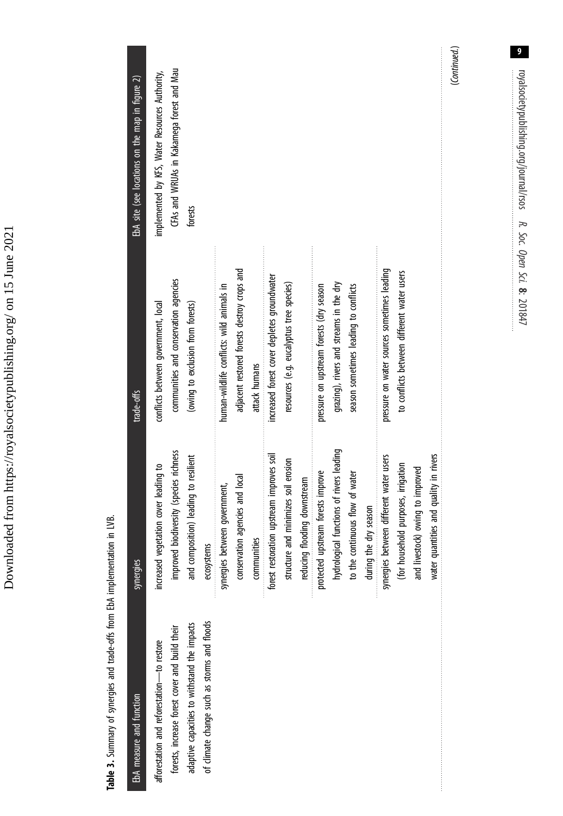<span id="page-8-0"></span>

| EbA measure and function                       | synergies                                 | trade-offs                                  | EbA site (see locations on the map in figure 2) |
|------------------------------------------------|-------------------------------------------|---------------------------------------------|-------------------------------------------------|
| afforestation and reforestation-to restore     | increased vegetation cover leading to     | conflicts between government, local         | implemented by KFS, Water Resources Authority,  |
| forests, increase forest cover and build their | improved biodiversity (species richness   | communities and conservation agencies       | CFAs and WRUAs in Kakamega forest and Mau       |
| adaptive capacities to withstand the impacts   | and composition) leading to resilient     | (owing to exclusion from forests)           | forests                                         |
| of dimate change such as storms and floods     | ecosystems                                |                                             |                                                 |
|                                                | synergies between government,             | human-wildlife conflicts: wild animals in   |                                                 |
|                                                | conservation agencies and local           | adjacent restored forests destroy crops and |                                                 |
|                                                | communities                               | attack humans                               |                                                 |
|                                                | forest restoration upstream improves soil | increased forest cover depletes groundwater |                                                 |
|                                                | minimizes soil erosion<br>structure and   | resources (e.g. eucalyptus tree species)    |                                                 |
|                                                | reducing flooding downstream              |                                             |                                                 |
|                                                | protected upstream forests improve        | pressure on upstream forests (dry season    |                                                 |
|                                                | hydrological functions of rivers leading  | grazing), rivers and streams in the dry     |                                                 |
|                                                | to the continuous flow of water           | season sometimes leading to conflicts       |                                                 |
|                                                | season<br>during the dry                  |                                             |                                                 |
|                                                | synergies between different water users   | pressure on water sources sometimes leading |                                                 |
|                                                | I purposes, irrigation<br>(for household  | to conflicts between different water users  |                                                 |
|                                                | owing to improved<br>and livestock)       |                                             |                                                 |
|                                                | water quantities and quality in rivers    |                                             |                                                 |

 Downloaded from https://royalsocietypublishing.org/ on 15 June 2021 Downloaded from https://royalsocietypublishing.org/ on 15 June 2021  $\overline{9}$ 

royalsocietypublishing.org/journal/rsos R. Soc. Open Sci. 8: 10yalsodetypublishing.org/journal/rsos R. Soc. Open Sci. 8: 201847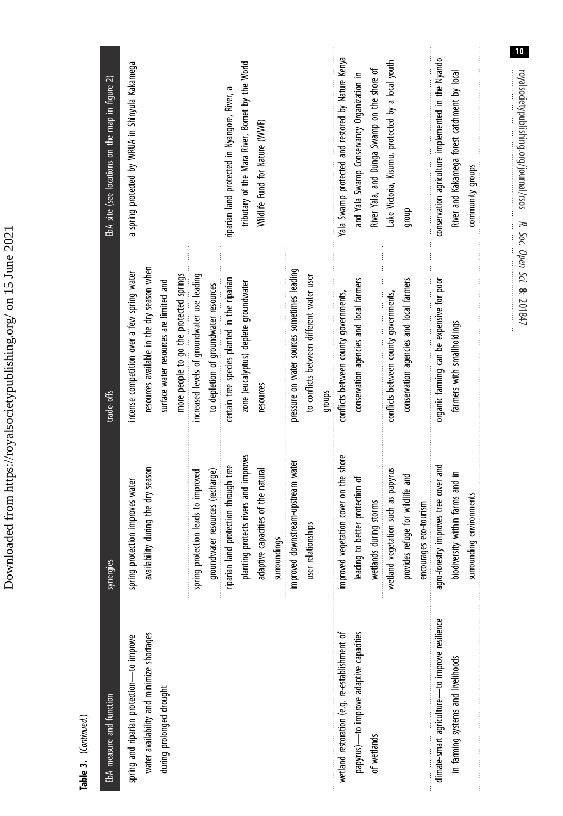| Table 3. (Continued.)                                                                                              |                                                                                                                                                                                                                   |                                                                                                                                                                                 |                                                                                                                                                                                                              |
|--------------------------------------------------------------------------------------------------------------------|-------------------------------------------------------------------------------------------------------------------------------------------------------------------------------------------------------------------|---------------------------------------------------------------------------------------------------------------------------------------------------------------------------------|--------------------------------------------------------------------------------------------------------------------------------------------------------------------------------------------------------------|
| EbA measure and function                                                                                           | synergies                                                                                                                                                                                                         | trade-offs                                                                                                                                                                      | EbA site (see locations on the map in figure 2)                                                                                                                                                              |
| water availability and minimize shortages<br>spring and riparian protection-to improve<br>during prolonged drought | availability during the dry season<br>spring protection improves water                                                                                                                                            | resources available in the dry season when<br>intense competition over a few spring water<br>more people to go the protected springs<br>surface water resources are limited and | a spring protected by WRUA in Shinyula Kakamega                                                                                                                                                              |
|                                                                                                                    | planting protects rivers and improves<br>riparian land protection through tree<br>groundwater resources (recharge)<br>spring protection leads to improved                                                         | increased levels of groundwater use leading<br>certain tree species planted in the riparian<br>zone (eucalyptus) deplete groundwater<br>to depletion of groundwater resources   | tributary of the Mara River, Bornet by the World<br>riparian land protected in Nyangore, River, a                                                                                                            |
|                                                                                                                    | improved downstream-upstream water<br>adaptive capacities of the natural<br>user relationships<br>surroundings                                                                                                    | pressure on water sources sometimes leading<br>to conflicts between different water user<br>resources<br>groups                                                                 | Wildlife Fund for Nature (WWF)                                                                                                                                                                               |
| papyrus)-to improve adaptive capacities<br>wetland restoration (e.g. re-establishment of<br>of wetlands            | improved vegetation cover on the shore<br>wetland vegetation such as papyrus<br>provides refuge for wildlife and<br>leading to better protection of<br><b>storms</b><br>encourages eco-tourism<br>wetlands during | conservation agencies and local farmers<br>conservation agencies and local farmers<br>conflicts between county governments,<br>conflicts between county governments,            | Yala Swamp protected and restored by Nature Kenya<br>Lake Victoria, Kisumu, protected by a local youth<br>River Yala, and Dunga Swamp on the shore of<br>and Yala Swamp Conservancy Organization in<br>dhoib |
| dimate-smart agriculture-to improve resilience<br>in farming systems and livelihoods                               | agro-forestry improves tree cover and<br>biodiversity within farms and in<br>surrounding environments                                                                                                             | organic farming can be expensive for poor<br>farmers with smallholdings                                                                                                         | conservation agriculture implemented in the Nyando<br>River and Kakamega forest catchment by local<br>community groups                                                                                       |
|                                                                                                                    |                                                                                                                                                                                                                   | R. Soc. Open Sci. 8: 201847                                                                                                                                                     | 10<br>royalsocietypublishing.org/journal/rsos                                                                                                                                                                |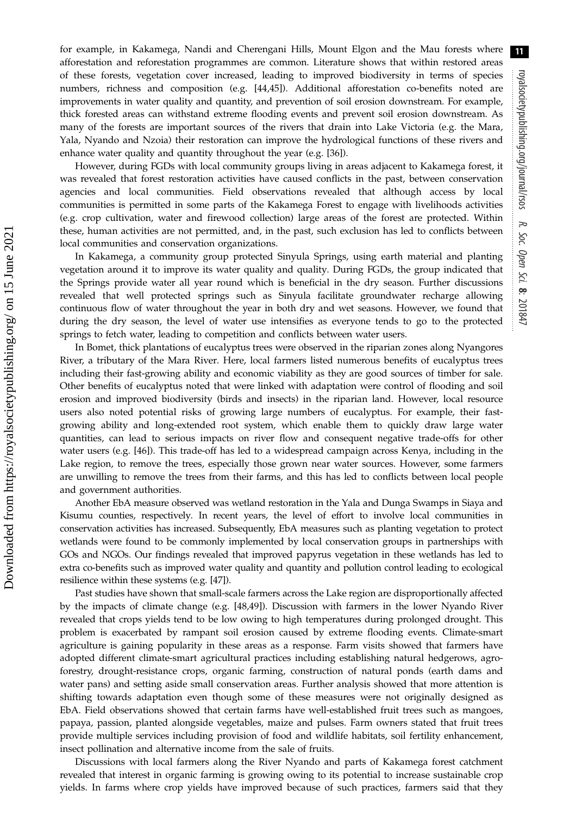for example, in Kakamega, Nandi and Cherengani Hills, Mount Elgon and the Mau forests where afforestation and reforestation programmes are common. Literature shows that within restored areas of these forests, vegetation cover increased, leading to improved biodiversity in terms of species numbers, richness and composition (e.g. [[44,45\]](#page-16-0)). Additional afforestation co-benefits noted are improvements in water quality and quantity, and prevention of soil erosion downstream. For example, thick forested areas can withstand extreme flooding events and prevent soil erosion downstream. As many of the forests are important sources of the rivers that drain into Lake Victoria (e.g. the Mara, Yala, Nyando and Nzoia) their restoration can improve the hydrological functions of these rivers and enhance water quality and quantity throughout the year (e.g. [[36\]](#page-16-0)).

However, during FGDs with local community groups living in areas adjacent to Kakamega forest, it was revealed that forest restoration activities have caused conflicts in the past, between conservation agencies and local communities. Field observations revealed that although access by local communities is permitted in some parts of the Kakamega Forest to engage with livelihoods activities (e.g. crop cultivation, water and firewood collection) large areas of the forest are protected. Within these, human activities are not permitted, and, in the past, such exclusion has led to conflicts between local communities and conservation organizations.

In Kakamega, a community group protected Sinyula Springs, using earth material and planting vegetation around it to improve its water quality and quality. During FGDs, the group indicated that the Springs provide water all year round which is beneficial in the dry season. Further discussions revealed that well protected springs such as Sinyula facilitate groundwater recharge allowing continuous flow of water throughout the year in both dry and wet seasons. However, we found that during the dry season, the level of water use intensifies as everyone tends to go to the protected springs to fetch water, leading to competition and conflicts between water users.

In Bomet, thick plantations of eucalyptus trees were observed in the riparian zones along Nyangores River, a tributary of the Mara River. Here, local farmers listed numerous benefits of eucalyptus trees including their fast-growing ability and economic viability as they are good sources of timber for sale. Other benefits of eucalyptus noted that were linked with adaptation were control of flooding and soil erosion and improved biodiversity (birds and insects) in the riparian land. However, local resource users also noted potential risks of growing large numbers of eucalyptus. For example, their fastgrowing ability and long-extended root system, which enable them to quickly draw large water quantities, can lead to serious impacts on river flow and consequent negative trade-offs for other water users (e.g. [\[46](#page-16-0)]). This trade-off has led to a widespread campaign across Kenya, including in the Lake region, to remove the trees, especially those grown near water sources. However, some farmers are unwilling to remove the trees from their farms, and this has led to conflicts between local people and government authorities.

Another EbA measure observed was wetland restoration in the Yala and Dunga Swamps in Siaya and Kisumu counties, respectively. In recent years, the level of effort to involve local communities in conservation activities has increased. Subsequently, EbA measures such as planting vegetation to protect wetlands were found to be commonly implemented by local conservation groups in partnerships with GOs and NGOs. Our findings revealed that improved papyrus vegetation in these wetlands has led to extra co-benefits such as improved water quality and quantity and pollution control leading to ecological resilience within these systems (e.g. [[47](#page-16-0)]).

Past studies have shown that small-scale farmers across the Lake region are disproportionally affected by the impacts of climate change (e.g. [[48,49](#page-16-0)]). Discussion with farmers in the lower Nyando River revealed that crops yields tend to be low owing to high temperatures during prolonged drought. This problem is exacerbated by rampant soil erosion caused by extreme flooding events. Climate-smart agriculture is gaining popularity in these areas as a response. Farm visits showed that farmers have adopted different climate-smart agricultural practices including establishing natural hedgerows, agroforestry, drought-resistance crops, organic farming, construction of natural ponds (earth dams and water pans) and setting aside small conservation areas. Further analysis showed that more attention is shifting towards adaptation even though some of these measures were not originally designed as EbA. Field observations showed that certain farms have well-established fruit trees such as mangoes, papaya, passion, planted alongside vegetables, maize and pulses. Farm owners stated that fruit trees provide multiple services including provision of food and wildlife habitats, soil fertility enhancement, insect pollination and alternative income from the sale of fruits.

Discussions with local farmers along the River Nyando and parts of Kakamega forest catchment revealed that interest in organic farming is growing owing to its potential to increase sustainable crop yields. In farms where crop yields have improved because of such practices, farmers said that they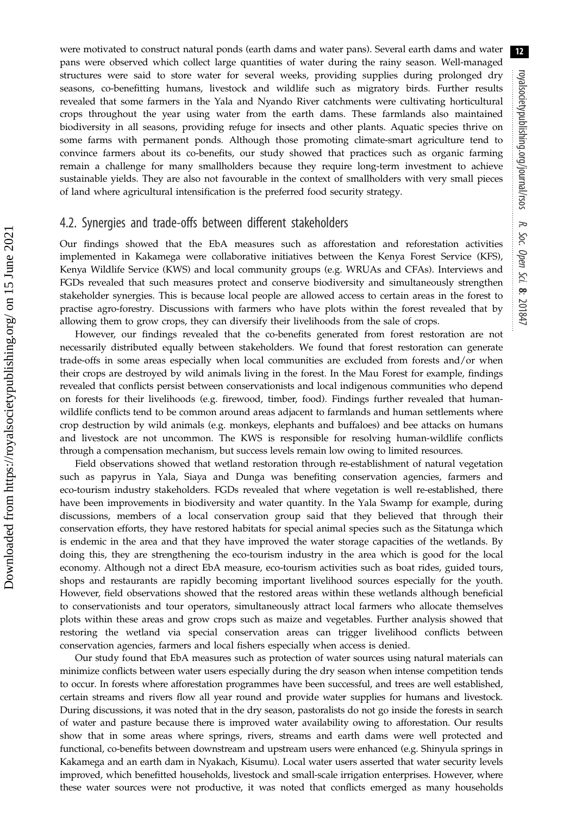were motivated to construct natural ponds (earth dams and water pans). Several earth dams and water pans were observed which collect large quantities of water during the rainy season. Well-managed structures were said to store water for several weeks, providing supplies during prolonged dry seasons, co-benefitting humans, livestock and wildlife such as migratory birds. Further results revealed that some farmers in the Yala and Nyando River catchments were cultivating horticultural crops throughout the year using water from the earth dams. These farmlands also maintained biodiversity in all seasons, providing refuge for insects and other plants. Aquatic species thrive on some farms with permanent ponds. Although those promoting climate-smart agriculture tend to convince farmers about its co-benefits, our study showed that practices such as organic farming remain a challenge for many smallholders because they require long-term investment to achieve sustainable yields. They are also not favourable in the context of smallholders with very small pieces of land where agricultural intensification is the preferred food security strategy.

#### 4.2. Synergies and trade-offs between different stakeholders

Our findings showed that the EbA measures such as afforestation and reforestation activities implemented in Kakamega were collaborative initiatives between the Kenya Forest Service (KFS), Kenya Wildlife Service (KWS) and local community groups (e.g. WRUAs and CFAs). Interviews and FGDs revealed that such measures protect and conserve biodiversity and simultaneously strengthen stakeholder synergies. This is because local people are allowed access to certain areas in the forest to practise agro-forestry. Discussions with farmers who have plots within the forest revealed that by allowing them to grow crops, they can diversify their livelihoods from the sale of crops.

However, our findings revealed that the co-benefits generated from forest restoration are not necessarily distributed equally between stakeholders. We found that forest restoration can generate trade-offs in some areas especially when local communities are excluded from forests and/or when their crops are destroyed by wild animals living in the forest. In the Mau Forest for example, findings revealed that conflicts persist between conservationists and local indigenous communities who depend on forests for their livelihoods (e.g. firewood, timber, food). Findings further revealed that humanwildlife conflicts tend to be common around areas adjacent to farmlands and human settlements where crop destruction by wild animals (e.g. monkeys, elephants and buffaloes) and bee attacks on humans and livestock are not uncommon. The KWS is responsible for resolving human-wildlife conflicts through a compensation mechanism, but success levels remain low owing to limited resources.

Field observations showed that wetland restoration through re-establishment of natural vegetation such as papyrus in Yala, Siaya and Dunga was benefiting conservation agencies, farmers and eco-tourism industry stakeholders. FGDs revealed that where vegetation is well re-established, there have been improvements in biodiversity and water quantity. In the Yala Swamp for example, during discussions, members of a local conservation group said that they believed that through their conservation efforts, they have restored habitats for special animal species such as the Sitatunga which is endemic in the area and that they have improved the water storage capacities of the wetlands. By doing this, they are strengthening the eco-tourism industry in the area which is good for the local economy. Although not a direct EbA measure, eco-tourism activities such as boat rides, guided tours, shops and restaurants are rapidly becoming important livelihood sources especially for the youth. However, field observations showed that the restored areas within these wetlands although beneficial to conservationists and tour operators, simultaneously attract local farmers who allocate themselves plots within these areas and grow crops such as maize and vegetables. Further analysis showed that restoring the wetland via special conservation areas can trigger livelihood conflicts between conservation agencies, farmers and local fishers especially when access is denied.

Our study found that EbA measures such as protection of water sources using natural materials can minimize conflicts between water users especially during the dry season when intense competition tends to occur. In forests where afforestation programmes have been successful, and trees are well established, certain streams and rivers flow all year round and provide water supplies for humans and livestock. During discussions, it was noted that in the dry season, pastoralists do not go inside the forests in search of water and pasture because there is improved water availability owing to afforestation. Our results show that in some areas where springs, rivers, streams and earth dams were well protected and functional, co-benefits between downstream and upstream users were enhanced (e.g. Shinyula springs in Kakamega and an earth dam in Nyakach, Kisumu). Local water users asserted that water security levels improved, which benefitted households, livestock and small-scale irrigation enterprises. However, where these water sources were not productive, it was noted that conflicts emerged as many households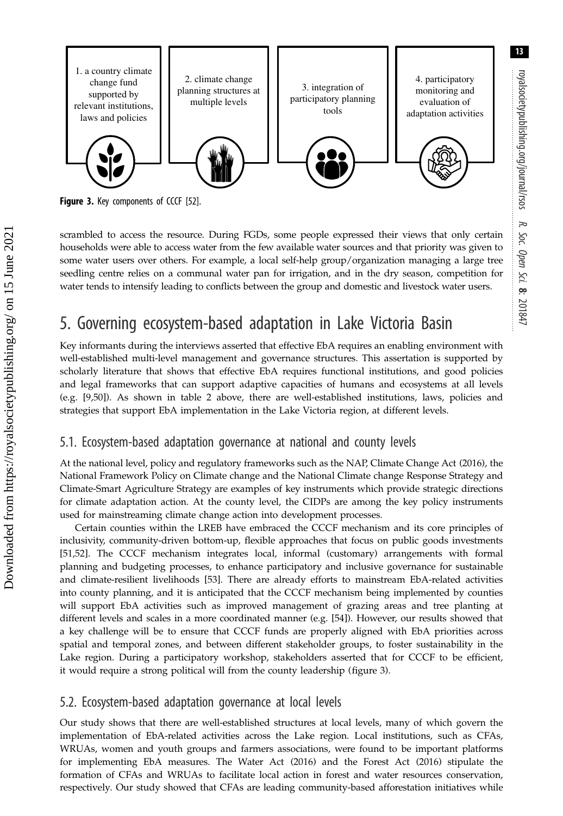

Figure 3. Key components of CCCF [[52](#page-16-0)].

scrambled to access the resource. During FGDs, some people expressed their views that only certain households were able to access water from the few available water sources and that priority was given to some water users over others. For example, a local self-help group/organization managing a large tree seedling centre relies on a communal water pan for irrigation, and in the dry season, competition for water tends to intensify leading to conflicts between the group and domestic and livestock water users.

# 5. Governing ecosystem-based adaptation in Lake Victoria Basin

Key informants during the interviews asserted that effective EbA requires an enabling environment with well-established multi-level management and governance structures. This assertation is supported by scholarly literature that shows that effective EbA requires functional institutions, and good policies and legal frameworks that can support adaptive capacities of humans and ecosystems at all levels (e.g. [[9](#page-15-0),[50\]](#page-16-0)). As shown in [table 2](#page-6-0) above, there are well-established institutions, laws, policies and strategies that support EbA implementation in the Lake Victoria region, at different levels.

#### 5.1. Ecosystem-based adaptation governance at national and county levels

At the national level, policy and regulatory frameworks such as the NAP, Climate Change Act (2016), the National Framework Policy on Climate change and the National Climate change Response Strategy and Climate-Smart Agriculture Strategy are examples of key instruments which provide strategic directions for climate adaptation action. At the county level, the CIDPs are among the key policy instruments used for mainstreaming climate change action into development processes.

Certain counties within the LREB have embraced the CCCF mechanism and its core principles of inclusivity, community-driven bottom-up, flexible approaches that focus on public goods investments [\[51](#page-16-0),[52\]](#page-16-0). The CCCF mechanism integrates local, informal (customary) arrangements with formal planning and budgeting processes, to enhance participatory and inclusive governance for sustainable and climate-resilient livelihoods [\[53](#page-16-0)]. There are already efforts to mainstream EbA-related activities into county planning, and it is anticipated that the CCCF mechanism being implemented by counties will support EbA activities such as improved management of grazing areas and tree planting at different levels and scales in a more coordinated manner (e.g. [\[54](#page-16-0)]). However, our results showed that a key challenge will be to ensure that CCCF funds are properly aligned with EbA priorities across spatial and temporal zones, and between different stakeholder groups, to foster sustainability in the Lake region. During a participatory workshop, stakeholders asserted that for CCCF to be efficient, it would require a strong political will from the county leadership (figure 3).

#### 5.2. Ecosystem-based adaptation governance at local levels

Our study shows that there are well-established structures at local levels, many of which govern the implementation of EbA-related activities across the Lake region. Local institutions, such as CFAs, WRUAs, women and youth groups and farmers associations, were found to be important platforms for implementing EbA measures. The Water Act (2016) and the Forest Act (2016) stipulate the formation of CFAs and WRUAs to facilitate local action in forest and water resources conservation, respectively. Our study showed that CFAs are leading community-based afforestation initiatives while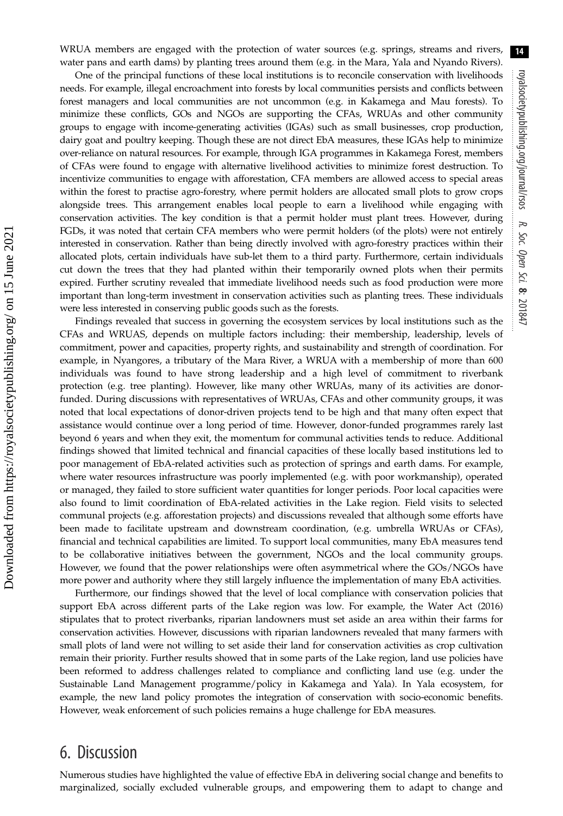WRUA members are engaged with the protection of water sources (e.g. springs, streams and rivers, water pans and earth dams) by planting trees around them (e.g. in the Mara, Yala and Nyando Rivers).

One of the principal functions of these local institutions is to reconcile conservation with livelihoods needs. For example, illegal encroachment into forests by local communities persists and conflicts between forest managers and local communities are not uncommon (e.g. in Kakamega and Mau forests). To minimize these conflicts, GOs and NGOs are supporting the CFAs, WRUAs and other community groups to engage with income-generating activities (IGAs) such as small businesses, crop production, dairy goat and poultry keeping. Though these are not direct EbA measures, these IGAs help to minimize over-reliance on natural resources. For example, through IGA programmes in Kakamega Forest, members of CFAs were found to engage with alternative livelihood activities to minimize forest destruction. To incentivize communities to engage with afforestation, CFA members are allowed access to special areas within the forest to practise agro-forestry, where permit holders are allocated small plots to grow crops alongside trees. This arrangement enables local people to earn a livelihood while engaging with conservation activities. The key condition is that a permit holder must plant trees. However, during FGDs, it was noted that certain CFA members who were permit holders (of the plots) were not entirely interested in conservation. Rather than being directly involved with agro-forestry practices within their allocated plots, certain individuals have sub-let them to a third party. Furthermore, certain individuals cut down the trees that they had planted within their temporarily owned plots when their permits expired. Further scrutiny revealed that immediate livelihood needs such as food production were more important than long-term investment in conservation activities such as planting trees. These individuals were less interested in conserving public goods such as the forests.

Findings revealed that success in governing the ecosystem services by local institutions such as the CFAs and WRUAS, depends on multiple factors including: their membership, leadership, levels of commitment, power and capacities, property rights, and sustainability and strength of coordination. For example, in Nyangores, a tributary of the Mara River, a WRUA with a membership of more than 600 individuals was found to have strong leadership and a high level of commitment to riverbank protection (e.g. tree planting). However, like many other WRUAs, many of its activities are donorfunded. During discussions with representatives of WRUAs, CFAs and other community groups, it was noted that local expectations of donor-driven projects tend to be high and that many often expect that assistance would continue over a long period of time. However, donor-funded programmes rarely last beyond 6 years and when they exit, the momentum for communal activities tends to reduce. Additional findings showed that limited technical and financial capacities of these locally based institutions led to poor management of EbA-related activities such as protection of springs and earth dams. For example, where water resources infrastructure was poorly implemented (e.g. with poor workmanship), operated or managed, they failed to store sufficient water quantities for longer periods. Poor local capacities were also found to limit coordination of EbA-related activities in the Lake region. Field visits to selected communal projects (e.g. afforestation projects) and discussions revealed that although some efforts have been made to facilitate upstream and downstream coordination, (e.g. umbrella WRUAs or CFAs), financial and technical capabilities are limited. To support local communities, many EbA measures tend to be collaborative initiatives between the government, NGOs and the local community groups. However, we found that the power relationships were often asymmetrical where the GOs/NGOs have more power and authority where they still largely influence the implementation of many EbA activities.

Furthermore, our findings showed that the level of local compliance with conservation policies that support EbA across different parts of the Lake region was low. For example, the Water Act (2016) stipulates that to protect riverbanks, riparian landowners must set aside an area within their farms for conservation activities. However, discussions with riparian landowners revealed that many farmers with small plots of land were not willing to set aside their land for conservation activities as crop cultivation remain their priority. Further results showed that in some parts of the Lake region, land use policies have been reformed to address challenges related to compliance and conflicting land use (e.g. under the Sustainable Land Management programme/policy in Kakamega and Yala). In Yala ecosystem, for example, the new land policy promotes the integration of conservation with socio-economic benefits. However, weak enforcement of such policies remains a huge challenge for EbA measures.

### 6. Discussion

Numerous studies have highlighted the value of effective EbA in delivering social change and benefits to marginalized, socially excluded vulnerable groups, and empowering them to adapt to change and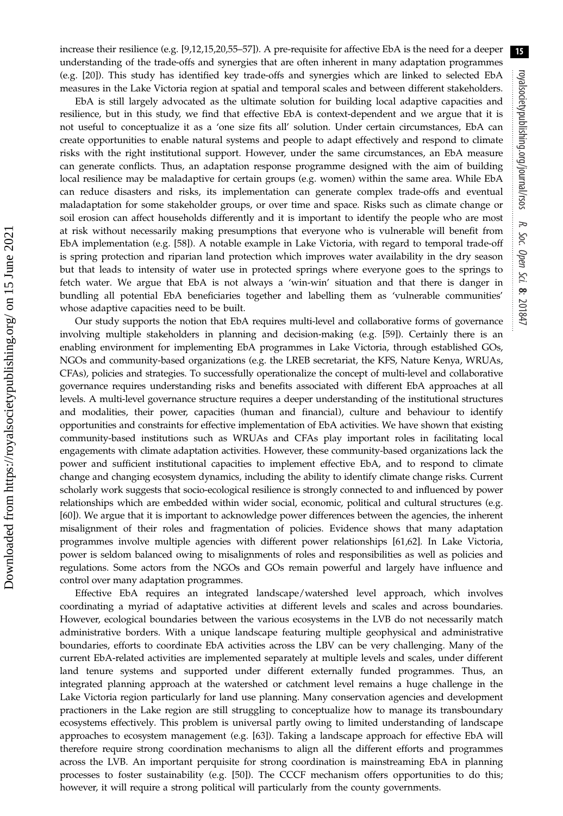increase their resilience (e.g. [\[9,12,](#page-15-0)[15,20](#page-16-0),[55](#page-16-0)–[57](#page-16-0)]). A pre-requisite for affective EbA is the need for a deeper understanding of the trade-offs and synergies that are often inherent in many adaptation programmes (e.g. [\[20](#page-16-0)]). This study has identified key trade-offs and synergies which are linked to selected EbA measures in the Lake Victoria region at spatial and temporal scales and between different stakeholders.

EbA is still largely advocated as the ultimate solution for building local adaptive capacities and resilience, but in this study, we find that effective EbA is context-dependent and we argue that it is not useful to conceptualize it as a 'one size fits all' solution. Under certain circumstances, EbA can create opportunities to enable natural systems and people to adapt effectively and respond to climate risks with the right institutional support. However, under the same circumstances, an EbA measure can generate conflicts. Thus, an adaptation response programme designed with the aim of building local resilience may be maladaptive for certain groups (e.g. women) within the same area. While EbA can reduce disasters and risks, its implementation can generate complex trade-offs and eventual maladaptation for some stakeholder groups, or over time and space. Risks such as climate change or soil erosion can affect households differently and it is important to identify the people who are most at risk without necessarily making presumptions that everyone who is vulnerable will benefit from EbA implementation (e.g. [\[58](#page-17-0)]). A notable example in Lake Victoria, with regard to temporal trade-off is spring protection and riparian land protection which improves water availability in the dry season but that leads to intensity of water use in protected springs where everyone goes to the springs to fetch water. We argue that EbA is not always a 'win-win' situation and that there is danger in bundling all potential EbA beneficiaries together and labelling them as 'vulnerable communities' whose adaptive capacities need to be built.

Our study supports the notion that EbA requires multi-level and collaborative forms of governance involving multiple stakeholders in planning and decision-making (e.g. [\[59](#page-17-0)]). Certainly there is an enabling environment for implementing EbA programmes in Lake Victoria, through established GOs, NGOs and community-based organizations (e.g. the LREB secretariat, the KFS, Nature Kenya, WRUAs, CFAs), policies and strategies. To successfully operationalize the concept of multi-level and collaborative governance requires understanding risks and benefits associated with different EbA approaches at all levels. A multi-level governance structure requires a deeper understanding of the institutional structures and modalities, their power, capacities (human and financial), culture and behaviour to identify opportunities and constraints for effective implementation of EbA activities. We have shown that existing community-based institutions such as WRUAs and CFAs play important roles in facilitating local engagements with climate adaptation activities. However, these community-based organizations lack the power and sufficient institutional capacities to implement effective EbA, and to respond to climate change and changing ecosystem dynamics, including the ability to identify climate change risks. Current scholarly work suggests that socio-ecological resilience is strongly connected to and influenced by power relationships which are embedded within wider social, economic, political and cultural structures (e.g. [\[60](#page-17-0)]). We argue that it is important to acknowledge power differences between the agencies, the inherent misalignment of their roles and fragmentation of policies. Evidence shows that many adaptation programmes involve multiple agencies with different power relationships [[61,62\]](#page-17-0). In Lake Victoria, power is seldom balanced owing to misalignments of roles and responsibilities as well as policies and regulations. Some actors from the NGOs and GOs remain powerful and largely have influence and control over many adaptation programmes.

Effective EbA requires an integrated landscape/watershed level approach, which involves coordinating a myriad of adaptative activities at different levels and scales and across boundaries. However, ecological boundaries between the various ecosystems in the LVB do not necessarily match administrative borders. With a unique landscape featuring multiple geophysical and administrative boundaries, efforts to coordinate EbA activities across the LBV can be very challenging. Many of the current EbA-related activities are implemented separately at multiple levels and scales, under different land tenure systems and supported under different externally funded programmes. Thus, an integrated planning approach at the watershed or catchment level remains a huge challenge in the Lake Victoria region particularly for land use planning. Many conservation agencies and development practioners in the Lake region are still struggling to conceptualize how to manage its transboundary ecosystems effectively. This problem is universal partly owing to limited understanding of landscape approaches to ecosystem management (e.g. [\[63](#page-17-0)]). Taking a landscape approach for effective EbA will therefore require strong coordination mechanisms to align all the different efforts and programmes across the LVB. An important perquisite for strong coordination is mainstreaming EbA in planning processes to foster sustainability (e.g. [[50\]](#page-16-0)). The CCCF mechanism offers opportunities to do this; however, it will require a strong political will particularly from the county governments.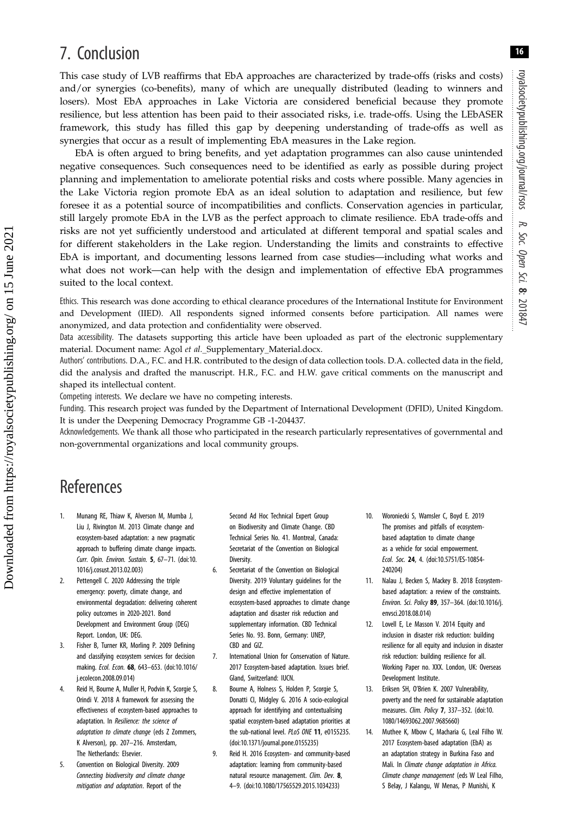16

# <span id="page-15-0"></span>7. Conclusion

This case study of LVB reaffirms that EbA approaches are characterized by trade-offs (risks and costs) and/or synergies (co-benefits), many of which are unequally distributed (leading to winners and losers). Most EbA approaches in Lake Victoria are considered beneficial because they promote resilience, but less attention has been paid to their associated risks, i.e. trade-offs. Using the LEbASER framework, this study has filled this gap by deepening understanding of trade-offs as well as synergies that occur as a result of implementing EbA measures in the Lake region.

EbA is often argued to bring benefits, and yet adaptation programmes can also cause unintended negative consequences. Such consequences need to be identified as early as possible during project planning and implementation to ameliorate potential risks and costs where possible. Many agencies in the Lake Victoria region promote EbA as an ideal solution to adaptation and resilience, but few foresee it as a potential source of incompatibilities and conflicts. Conservation agencies in particular, still largely promote EbA in the LVB as the perfect approach to climate resilience. EbA trade-offs and risks are not yet sufficiently understood and articulated at different temporal and spatial scales and for different stakeholders in the Lake region. Understanding the limits and constraints to effective EbA is important, and documenting lessons learned from case studies—including what works and what does not work—can help with the design and implementation of effective EbA programmes suited to the local context.

Ethics. This research was done according to ethical clearance procedures of the International Institute for Environment and Development (IIED). All respondents signed informed consents before participation. All names were anonymized, and data protection and confidentiality were observed.

Data accessibility. The datasets supporting this article have been uploaded as part of the electronic supplementary material. Document name: Agol et al.\_Supplementary\_Material.docx.

Authors' contributions. D.A., F.C. and H.R. contributed to the design of data collection tools. D.A. collected data in the field, did the analysis and drafted the manuscript. H.R., F.C. and H.W. gave critical comments on the manuscript and shaped its intellectual content.

Competing interests. We declare we have no competing interests.

Funding. This research project was funded by the Department of International Development (DFID), United Kingdom. It is under the Deepening Democracy Programme GB -1-204437.

Acknowledgements. We thank all those who participated in the research particularly representatives of governmental and non-governmental organizations and local community groups.

# References

- 1. Munang RE, Thiaw K, Alverson M, Mumba J, Liu J, Rivington M. 2013 Climate change and ecosystem-based adaptation: a new pragmatic approach to buffering climate change impacts. Curr. Opin. Environ. Sustain. 5, 67–71. [\(doi:10.](http://dx.doi.org/10.1016/j.cosust.2013.02.003) [1016/j.cosust.2013.02.003\)](http://dx.doi.org/10.1016/j.cosust.2013.02.003)
- 2. Pettengell C. 2020 Addressing the triple emergency: poverty, climate change, and environmental degradation: delivering coherent policy outcomes in 2020-2021. Bond Development and Environment Group (DEG) Report. London, UK: DEG.
- 3. Fisher B, Turner KR, Morling P. 2009 Defining and classifying ecosystem services for decision making. Ecol. Econ. 68, 643–653. [\(doi:10.1016/](http://dx.doi.org/10.1016/j.ecolecon.2008.09.014) [j.ecolecon.2008.09.014](http://dx.doi.org/10.1016/j.ecolecon.2008.09.014))
- 4. Reid H, Bourne A, Muller H, Podvin K, Scorgie S, Orindi V. 2018 A framework for assessing the effectiveness of ecosystem-based approaches to adaptation. In Resilience: the science of adaptation to climate change (eds Z Zommers, K Alverson), pp. 207–216. Amsterdam, The Netherlands: Elsevier.
- 5. Convention on Biological Diversity. 2009 Connecting biodiversity and climate change mitigation and adaptation. Report of the

Second Ad Hoc Technical Expert Group on Biodiversity and Climate Change. CBD Technical Series No. 41. Montreal, Canada: Secretariat of the Convention on Biological **Diversity** 

- 6. Secretariat of the Convention on Biological Diversity. 2019 Voluntary guidelines for the design and effective implementation of ecosystem-based approaches to climate change adaptation and disaster risk reduction and supplementary information. CBD Technical Series No. 93. Bonn, Germany: UNEP, CBD and GIZ.
- 7. International Union for Conservation of Nature. 2017 Ecosystem-based adaptation. Issues brief. Gland, Switzerland: IUCN.
- 8. Bourne A, Holness S, Holden P, Scorgie S, Donatti CI, Midgley G. 2016 A socio-ecological approach for identifying and contextualising spatial ecosystem-based adaptation priorities at the sub-national level. PLoS ONE 11, e0155235. ([doi:10.1371/journal.pone.0155235](http://dx.doi.org/10.1371/journal.pone.0155235))
- 9. Reid H. 2016 Ecosystem- and community-based adaptation: learning from community-based natural resource management. Clim. Dev. 8, 4–9. ([doi:10.1080/17565529.2015.1034233](http://dx.doi.org/10.1080/17565529.2015.1034233))
- 10. Woroniecki S, Wamsler C, Boyd E. 2019 The promises and pitfalls of ecosystembased adaptation to climate change as a vehicle for social empowerment. Ecol. Soc. 24, 4. [\(doi:10.5751/ES-10854-](http://dx.doi.org/10.5751/ES-10854-240204) [240204](http://dx.doi.org/10.5751/ES-10854-240204))
- 11. Nalau J, Becken S, Mackey B. 2018 Ecosystembased adaptation: a review of the constraints. Environ. Sci. Policy 89, 357–364. ([doi:10.1016/j.](http://dx.doi.org/10.1016/j.envsci.2018.08.014) [envsci.2018.08.014\)](http://dx.doi.org/10.1016/j.envsci.2018.08.014)
- 12. Lovell E, Le Masson V. 2014 Equity and inclusion in disaster risk reduction: building resilience for all equity and inclusion in disaster risk reduction: building resilience for all. Working Paper no. XXX. London, UK: Overseas Development Institute.
- 13. Eriksen SH, O'Brien K. 2007 Vulnerability, poverty and the need for sustainable adaptation measures. Clim. Policy 7, 337–352. [\(doi:10.](http://dx.doi.org/10.1080/14693062.2007.9685660) [1080/14693062.2007.9685660](http://dx.doi.org/10.1080/14693062.2007.9685660))
- 14. Muthee K, Mbow C, Macharia G, Leal Filho W. 2017 Ecosystem-based adaptation (EbA) as an adaptation strategy in Burkina Faso and Mali. In Climate change adaptation in Africa. Climate change management (eds W Leal Filho, S Belay, J Kalangu, W Menas, P Munishi, K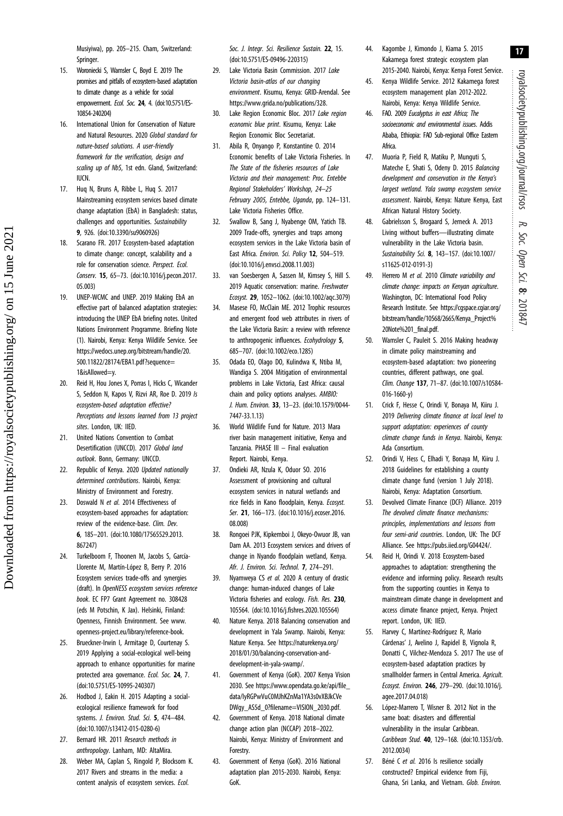<span id="page-16-0"></span>Musiyiwa), pp. 205–215. Cham, Switzerland: **Springer** 

- 15. Woroniecki S, Wamsler C, Boyd E. 2019 The promises and pitfalls of ecosystem-based adaptation to climate change as a vehicle for social empowerment. Ecol. Soc. 24, 4. ([doi:10.5751/ES-](http://dx.doi.org/10.5751/ES-10854-240204)[10854-240204\)](http://dx.doi.org/10.5751/ES-10854-240204)
- 16. International Union for Conservation of Nature and Natural Resources. 2020 Global standard for nature-based solutions. A user-friendly framework for the verification, design and scaling up of NbS, 1st edn. Gland, Switzerland: IUCN.
- 17. Huq N, Bruns A, Ribbe L, Huq S. 2017 Mainstreaming ecosystem services based climate change adaptation (EbA) in Bangladesh: status, challenges and opportunities. Sustainability 9, 926. [\(doi:10.3390/su9060926\)](http://dx.doi.org/10.3390/su9060926)
- 18. Scarano FR. 2017 Ecosystem-based adaptation to climate change: concept, scalability and a role for conservation science. Perspect. Ecol. Conserv. 15, 65–73. [\(doi:10.1016/j.pecon.2017.](http://dx.doi.org/10.1016/j.pecon.2017.05.003) [05.003\)](http://dx.doi.org/10.1016/j.pecon.2017.05.003)
- 19. UNEP-WCMC and UNEP. 2019 Making EbA an effective part of balanced adaptation strategies: introducing the UNEP EbA briefing notes. United Nations Environment Programme. Briefing Note (1). Nairobi, Kenya: Kenya Wildlife Service. See [https://wedocs.unep.org/bitstream/handle/20.](https://wedocs.unep.org/bitstream/handle/20.500.11822/28174/EBA1.pdf?sequence=1&isAllowed=y) [500.11822/28174/EBA1.pdf?sequence=](https://wedocs.unep.org/bitstream/handle/20.500.11822/28174/EBA1.pdf?sequence=1&isAllowed=y) 1&isAllowed=v.
- 20. Reid H, Hou Jones X, Porras I, Hicks C, Wicander S, Seddon N, Kapos V, Rizvi AR, Roe D. 2019 /s ecosystem-based adaptation effective? Perceptions and lessons learned from 13 project sites. London, UK: IIED.
- 21. United Nations Convention to Combat Desertification (UNCCD). 2017 Global land outlook. Bonn, Germany: UNCCD.
- 22. Republic of Kenya. 2020 Updated nationally determined contributions. Nairobi, Kenya: Ministry of Environment and Forestry.
- 23. Doswald N et al. 2014 Effectiveness of ecosystem-based approaches for adaptation: review of the evidence-base. Clim. Dev. 6, 185–201. ([doi:10.1080/17565529.2013.](http://dx.doi.org/10.1080/17565529.2013.867247) [867247\)](http://dx.doi.org/10.1080/17565529.2013.867247)
- 24. Turkelboom F, Thoonen M, Jacobs S, García-Llorente M, Martín-López B, Berry P. 2016 Ecosystem services trade-offs and synergies (draft). In OpenNESS ecosystem services reference book. EC FP7 Grant Agreement no. 308428 (eds M Potschin, K Jax). Helsinki, Finland: Openness, Finnish Environment. See [www.](http://www.openness-project.eu/library/reference-book) [openness-project.eu/library/reference-book](http://www.openness-project.eu/library/reference-book).
- 25. Brueckner-Irwin I, Armitage D, Courtenay S. 2019 Applying a social-ecological well-being approach to enhance opportunities for marine protected area governance. Ecol. Soc. 24, 7. ([doi:10.5751/ES-10995-240307](http://dx.doi.org/10.5751/ES-10995-240307))
- 26. Hodbod J, Eakin H. 2015 Adapting a socialecological resilience framework for food systems. J. Environ. Stud. Sci. 5, 474-484. ([doi:10.1007/s13412-015-0280-6\)](http://dx.doi.org/10.1007/s13412-015-0280-6)
- 27. Bernard HR. 2011 Research methods in anthropology. Lanham, MD: AltaMira.
- 28. Weber MA, Caplan S, Ringold P, Blocksom K. 2017 Rivers and streams in the media: a content analysis of ecosystem services. Ecol.

Soc. J. Integr. Sci. Resilience Sustain. 22, 15. ([doi:10.5751/ES-09496-220315\)](http://dx.doi.org/10.5751/ES-09496-220315)

- 29. Lake Victoria Basin Commission. 2017 Lake Victoria basin-atlas of our changing environment. Kisumu, Kenya: GRID-Arendal. See <https://www.grida.no/publications/328>.
- 30. Lake Region Economic Bloc. 2017 Lake region economic blue print. Kisumu, Kenya: Lake Region Economic Bloc Secretariat.
- 31. Abila R, Onyango P, Konstantine O. 2014 Economic benefits of Lake Victoria Fisheries. In The State of the fisheries resources of Lake Victoria and their management: Proc. Entebbe Regional Stakeholders' Workshop, 24–25 February 2005, Entebbe, Uganda, pp. 124–131. Lake Victoria Fisheries Office.
- 32. Swallow B, Sang J, Nyabenge OM, Yatich TB. 2009 Trade-offs, synergies and traps among ecosystem services in the Lake Victoria basin of East Africa. Environ. Sci. Policy 12, 504–519. ([doi:10.1016/j.envsci.2008.11.003\)](http://dx.doi.org/10.1016/j.envsci.2008.11.003)
- 33. van Soesbergen A, Sassen M, Kimsey S, Hill S. 2019 Aquatic conservation: marine. Freshwater Ecosyst. 29, 1052–1062. ([doi:10.1002/aqc.3079\)](http://dx.doi.org/10.1002/aqc.3079)
- 34. Masese FO, McClain ME. 2012 Trophic resources and emergent food web attributes in rivers of the Lake Victoria Basin: a review with reference to anthropogenic influences. Ecohydrology 5, 685–707. [\(doi:10.1002/eco.1285](http://dx.doi.org/10.1002/eco.1285))
- 35. Odada EO, Olago DO, Kulindwa K, Ntiba M, Wandiga S. 2004 Mitigation of environmental problems in Lake Victoria, East Africa: causal chain and policy options analyses. AMBIO: J. Hum. Environ. 33, 13–23. ([doi:10.1579/0044-](http://dx.doi.org/10.1579/0044-7447-33.1.13) [7447-33.1.13\)](http://dx.doi.org/10.1579/0044-7447-33.1.13)
- 36. World Wildlife Fund for Nature. 2013 Mara river basin management initiative, Kenya and Tanzania. PHASE III – Final evaluation Report. Nairobi, Kenya.
- 37. Ondieki AR, Nzula K, Oduor SO. 2016 Assessment of provisioning and cultural ecosystem services in natural wetlands and rice fields in Kano floodplain, Kenya. Ecosyst. Ser. 21, 166–173. [\(doi:10.1016/j.ecoser.2016.](http://dx.doi.org/10.1016/j.ecoser.2016.08.008) [08.008](http://dx.doi.org/10.1016/j.ecoser.2016.08.008))
- 38. Rongoei PJK, Kipkemboi J, Okeyo-Owuor JB, van Dam AA. 2013 Ecosystem services and drivers of change in Nyando floodplain wetland, Kenya. Afr. J. Environ. Sci. Technol. 7, 274–291.
- 39. Nyamweya CS et al. 2020 A century of drastic change: human-induced changes of Lake Victoria fisheries and ecology. Fish. Res. 230, 105564. ([doi:10.1016/j.fishres.2020.105564\)](http://dx.doi.org/10.1016/j.fishres.2020.105564)
- 40. Nature Kenya. 2018 Balancing conservation and development in Yala Swamp. Nairobi, Kenya: Nature Kenya. See [https://naturekenya.org/](https://naturekenya.org/2018/01/30/balancing-conservation-and-development-in-yala-swamp/) [2018/01/30/balancing-conservation-and](https://naturekenya.org/2018/01/30/balancing-conservation-and-development-in-yala-swamp/)[development-in-yala-swamp/.](https://naturekenya.org/2018/01/30/balancing-conservation-and-development-in-yala-swamp/)
- 41. Government of Kenya (GoK). 2007 Kenya Vision 2030. See [https://www.opendata.go.ke/api/file\\_](https://www.opendata.go.ke/api/file_data/IyRGPwVuC0MJhKZnMa1YA3s0vXBJkCVeDWgy_AS5d_0?filename=VISION_2030.pdf) [data/IyRGPwVuC0MJhKZnMa1YA3s0vXBJkCVe](https://www.opendata.go.ke/api/file_data/IyRGPwVuC0MJhKZnMa1YA3s0vXBJkCVeDWgy_AS5d_0?filename=VISION_2030.pdf) [DWgy\\_AS5d\\_0?filename=VISION\\_2030.pdf.](https://www.opendata.go.ke/api/file_data/IyRGPwVuC0MJhKZnMa1YA3s0vXBJkCVeDWgy_AS5d_0?filename=VISION_2030.pdf)
- 42. Government of Kenya. 2018 National climate change action plan (NCCAP) 2018–2022. Nairobi, Kenya: Ministry of Environment and **Forestry**
- 43. Government of Kenya (GoK). 2016 National adaptation plan 2015-2030. Nairobi, Kenya: GoK.
- 44. Kagombe J, Kimondo J, Kiama S. 2015 Kakamega forest strategic ecosystem plan 2015-2040. Nairobi, Kenya: Kenya Forest Service.
- 45. Kenya Wildlife Service. 2012 Kakamega forest ecosystem management plan 2012-2022. Nairobi, Kenya: Kenya Wildlife Service.
- 46. FAO. 2009 Eucalyptus in east Africa; The socioeconomic and environmental issues. Addis Ababa, Ethiopia: FAO Sub-regional Office Eastern Africa.
- 47. Muoria P, Field R, Matiku P, Munguti S, Mateche E, Shati S, Odeny D. 2015 Balancing development and conservation in the Kenya's largest wetland. Yala swamp ecosystem service assessment. Nairobi, Kenya: Nature Kenya, East African Natural History Society.
- 48. Gabrielsson S, Brogaard S, Jerneck A. 2013 Living without buffers—illustrating climate vulnerability in the Lake Victoria basin. Sustainability Sci. 8, 143–157. [\(doi:10.1007/](http://dx.doi.org/10.1007/s11625-012-0191-3) [s11625-012-0191-3](http://dx.doi.org/10.1007/s11625-012-0191-3))
- 49. Herrero M et al. 2010 Climate variability and climate change: impacts on Kenyan agriculture. Washington, DC: International Food Policy Research Institute. See [https://cgspace.cgiar.org/](https://cgspace.cgiar.org/bitstream/handle/10568/2665/Kenya_Project%20Note%201_final.pdf) [bitstream/handle/10568/2665/Kenya\\_Project%](https://cgspace.cgiar.org/bitstream/handle/10568/2665/Kenya_Project%20Note%201_final.pdf) [20Note%201\\_final.pdf](https://cgspace.cgiar.org/bitstream/handle/10568/2665/Kenya_Project%20Note%201_final.pdf).
- 50. Wamsler C, Pauleit S. 2016 Making headway in climate policy mainstreaming and ecosystem-based adaptation: two pioneering countries, different pathways, one goal. Clim. Change 137, 71–87. [\(doi:10.1007/s10584-](http://dx.doi.org/10.1007/s10584-016-1660-y) [016-1660-y\)](http://dx.doi.org/10.1007/s10584-016-1660-y)
- 51. Crick F, Hesse C, Orindi V, Bonaya M, Kiiru J. 2019 Delivering climate finance at local level to support adaptation: experiences of county climate change funds in Kenya. Nairobi, Kenya: Ada Consortium.
- 52. Orindi V, Hess C, Elhadi Y, Bonaya M, Kiiru J. 2018 Guidelines for establishing a county climate change fund (version 1 July 2018). Nairobi, Kenya: Adaptation Consortium.
- 53. Devolved Climate Finance (DCF) Alliance. 2019 The devolved climate finance mechanisms: principles, implementations and lessons from four semi-arid countries. London, UK: The DCF Alliance. See<https://pubs.iied.org/G04424/>.
- 54. Reid H, Orindi V. 2018 Ecosystem-based approaches to adaptation: strengthening the evidence and informing policy. Research results from the supporting counties in Kenya to mainstream climate change in development and access climate finance project, Kenya. Project report. London, UK: IIED.
- 55. Harvey C, Martínez-Rodríguez R, Mario Cárdenas' J, Avelino J, Rapidel B, Vignola R, Donatti C, Vilchez-Mendoza S. 2017 The use of ecosystem-based adaptation practices by smallholder farmers in Central America. Agricult. Ecosyst. Environ. 246, 279–290. [\(doi:10.1016/j.](http://dx.doi.org/10.1016/j.agee.2017.04.018) [agee.2017.04.018](http://dx.doi.org/10.1016/j.agee.2017.04.018))
- 56. López-Marrero T, Wisner B. 2012 Not in the same boat: disasters and differential vulnerability in the insular Caribbean. Caribbean Stud. 40, 129–168. [\(doi:10.1353/crb.](http://dx.doi.org/10.1353/crb.2012.0034) [2012.0034](http://dx.doi.org/10.1353/crb.2012.0034))
- 57. Béné C et al. 2016 Is resilience socially constructed? Empirical evidence from Fiji, Ghana, Sri Lanka, and Vietnam. Glob. Environ.

17